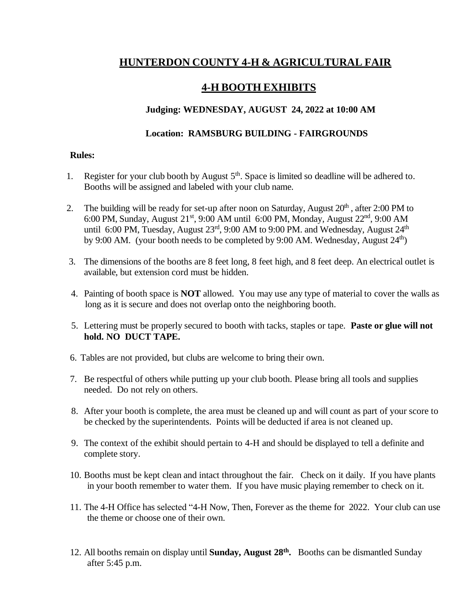# **HUNTERDON COUNTY 4-H & AGRICULTURAL FAIR**

# **4-H BOOTH EXHIBITS**

## **Judging: WEDNESDAY, AUGUST 24, 2022 at 10:00 AM**

### **Location: RAMSBURG BUILDING - FAIRGROUNDS**

#### **Rules:**

- 1. Register for your club booth by August  $5<sup>th</sup>$ . Space is limited so deadline will be adhered to. Booths will be assigned and labeled with your club name.
- 2. The building will be ready for set-up after noon on Saturday, August  $20<sup>th</sup>$ , after 2:00 PM to 6:00 PM, Sunday, August 21<sup>st</sup>, 9:00 AM until 6:00 PM, Monday, August 22<sup>nd</sup>, 9:00 AM until 6:00 PM, Tuesday, August  $23^{\text{rd}}$ , 9:00 AM to 9:00 PM. and Wednesday, August  $24^{\text{th}}$ by 9:00 AM. (your booth needs to be completed by 9:00 AM. Wednesday, August 24<sup>th</sup>)
- 3. The dimensions of the booths are 8 feet long, 8 feet high, and 8 feet deep. An electrical outlet is available, but extension cord must be hidden.
- 4. Painting of booth space is **NOT** allowed. You may use any type of material to cover the walls as long as it is secure and does not overlap onto the neighboring booth.
- 5. Lettering must be properly secured to booth with tacks, staples or tape. **Paste or glue will not hold. NO DUCT TAPE.**
- 6. Tables are not provided, but clubs are welcome to bring their own.
- 7. Be respectful of others while putting up your club booth. Please bring all tools and supplies needed. Do not rely on others.
- 8. After your booth is complete, the area must be cleaned up and will count as part of your score to be checked by the superintendents. Points will be deducted if area is not cleaned up.
- 9. The context of the exhibit should pertain to 4-H and should be displayed to tell a definite and complete story.
- 10. Booths must be kept clean and intact throughout the fair. Check on it daily. If you have plants in your booth remember to water them. If you have music playing remember to check on it.
- 11. The 4-H Office has selected "4-H Now, Then, Forever as the theme for 2022. Your club can use the theme or choose one of their own.
- 12. All booths remain on display until **Sunday, August 28 th .** Booths can be dismantled Sunday after 5:45 p.m.